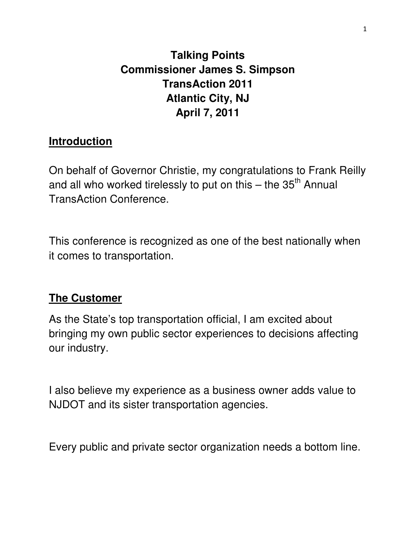# **Talking Points Commissioner James S. Simpson TransAction 2011 Atlantic City, NJ April 7, 2011**

## **Introduction**

On behalf of Governor Christie, my congratulations to Frank Reilly and all who worked tirelessly to put on this  $-$  the 35<sup>th</sup> Annual TransAction Conference.

This conference is recognized as one of the best nationally when it comes to transportation.

## **The Customer**

As the State's top transportation official, I am excited about bringing my own public sector experiences to decisions affecting our industry.

I also believe my experience as a business owner adds value to NJDOT and its sister transportation agencies.

Every public and private sector organization needs a bottom line.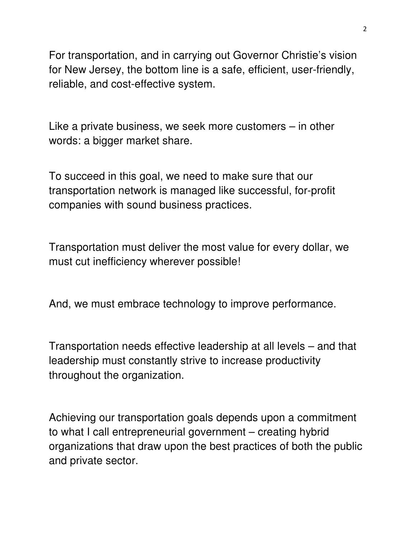For transportation, and in carrying out Governor Christie's vision for New Jersey, the bottom line is a safe, efficient, user-friendly, reliable, and cost-effective system.

Like a private business, we seek more customers – in other words: a bigger market share.

To succeed in this goal, we need to make sure that our transportation network is managed like successful, for-profit companies with sound business practices.

Transportation must deliver the most value for every dollar, we must cut inefficiency wherever possible!

And, we must embrace technology to improve performance.

Transportation needs effective leadership at all levels – and that leadership must constantly strive to increase productivity throughout the organization.

Achieving our transportation goals depends upon a commitment to what I call entrepreneurial government – creating hybrid organizations that draw upon the best practices of both the public and private sector.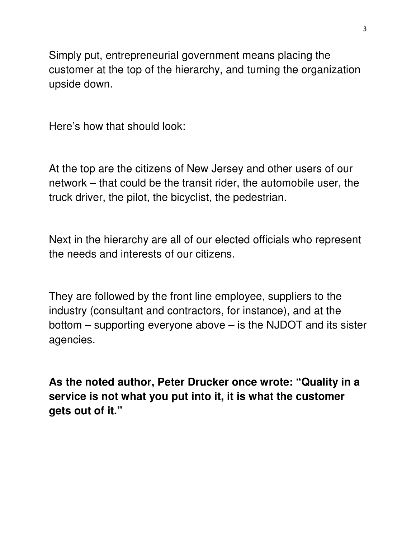Simply put, entrepreneurial government means placing the customer at the top of the hierarchy, and turning the organization upside down.

Here's how that should look:

At the top are the citizens of New Jersey and other users of our network – that could be the transit rider, the automobile user, the truck driver, the pilot, the bicyclist, the pedestrian.

Next in the hierarchy are all of our elected officials who represent the needs and interests of our citizens.

They are followed by the front line employee, suppliers to the industry (consultant and contractors, for instance), and at the bottom – supporting everyone above – is the NJDOT and its sister agencies.

**As the noted author, Peter Drucker once wrote: "Quality in a service is not what you put into it, it is what the customer gets out of it."**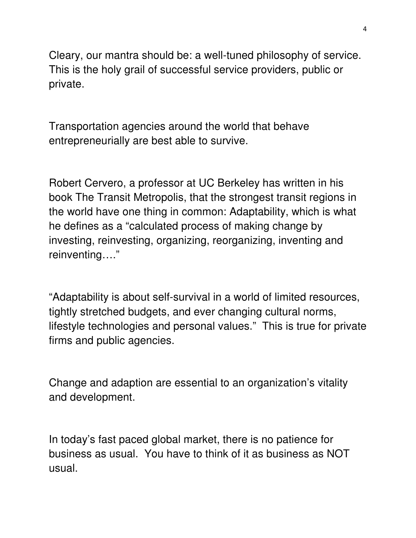Cleary, our mantra should be: a well-tuned philosophy of service. This is the holy grail of successful service providers, public or private.

Transportation agencies around the world that behave entrepreneurially are best able to survive.

Robert Cervero, a professor at UC Berkeley has written in his book The Transit Metropolis, that the strongest transit regions in the world have one thing in common: Adaptability, which is what he defines as a "calculated process of making change by investing, reinvesting, organizing, reorganizing, inventing and reinventing…."

"Adaptability is about self-survival in a world of limited resources, tightly stretched budgets, and ever changing cultural norms, lifestyle technologies and personal values." This is true for private firms and public agencies.

Change and adaption are essential to an organization's vitality and development.

In today's fast paced global market, there is no patience for business as usual. You have to think of it as business as NOT usual.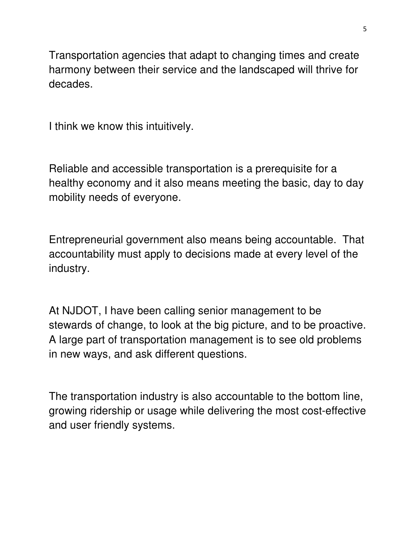Transportation agencies that adapt to changing times and create harmony between their service and the landscaped will thrive for decades.

I think we know this intuitively.

Reliable and accessible transportation is a prerequisite for a healthy economy and it also means meeting the basic, day to day mobility needs of everyone.

Entrepreneurial government also means being accountable. That accountability must apply to decisions made at every level of the industry.

At NJDOT, I have been calling senior management to be stewards of change, to look at the big picture, and to be proactive. A large part of transportation management is to see old problems in new ways, and ask different questions.

The transportation industry is also accountable to the bottom line, growing ridership or usage while delivering the most cost-effective and user friendly systems.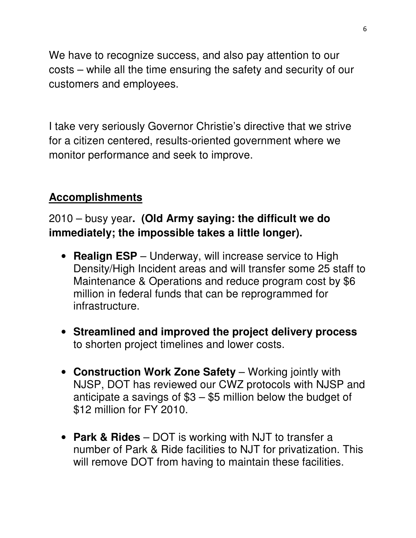We have to recognize success, and also pay attention to our costs – while all the time ensuring the safety and security of our customers and employees.

I take very seriously Governor Christie's directive that we strive for a citizen centered, results-oriented government where we monitor performance and seek to improve.

## **Accomplishments**

## 2010 – busy year**. (Old Army saying: the difficult we do immediately; the impossible takes a little longer).**

- **Realign ESP** Underway, will increase service to High Density/High Incident areas and will transfer some 25 staff to Maintenance & Operations and reduce program cost by \$6 million in federal funds that can be reprogrammed for infrastructure.
- **Streamlined and improved the project delivery process** to shorten project timelines and lower costs.
- **Construction Work Zone Safety** Working jointly with NJSP, DOT has reviewed our CWZ protocols with NJSP and anticipate a savings of  $$3 - $5$  million below the budget of \$12 million for FY 2010.
- **Park & Rides** DOT is working with NJT to transfer a number of Park & Ride facilities to NJT for privatization. This will remove DOT from having to maintain these facilities.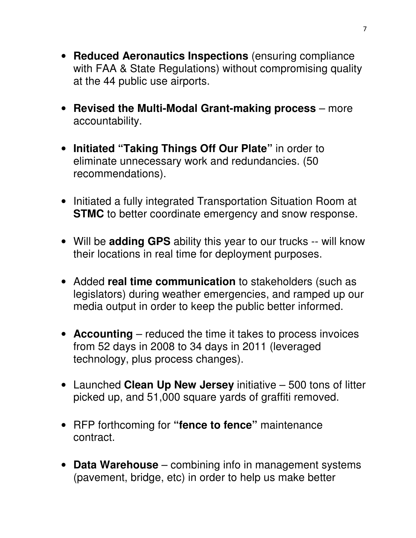- **Reduced Aeronautics Inspections** (ensuring compliance with FAA & State Regulations) without compromising quality at the 44 public use airports.
- **Revised the Multi-Modal Grant-making process** more accountability.
- **Initiated "Taking Things Off Our Plate"** in order to eliminate unnecessary work and redundancies. (50 recommendations).
- Initiated a fully integrated Transportation Situation Room at **STMC** to better coordinate emergency and snow response.
- Will be **adding GPS** ability this year to our trucks -- will know their locations in real time for deployment purposes.
- Added **real time communication** to stakeholders (such as legislators) during weather emergencies, and ramped up our media output in order to keep the public better informed.
- **Accounting** reduced the time it takes to process invoices from 52 days in 2008 to 34 days in 2011 (leveraged technology, plus process changes).
- Launched **Clean Up New Jersey** initiative 500 tons of litter picked up, and 51,000 square yards of graffiti removed.
- RFP forthcoming for **"fence to fence"** maintenance contract.
- **Data Warehouse** combining info in management systems (pavement, bridge, etc) in order to help us make better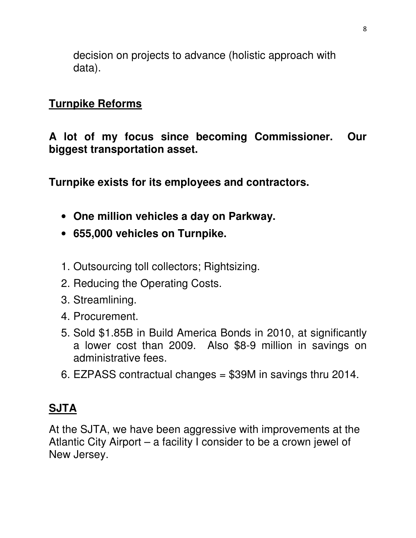decision on projects to advance (holistic approach with data).

#### **Turnpike Reforms**

**A lot of my focus since becoming Commissioner. Our biggest transportation asset.** 

**Turnpike exists for its employees and contractors.** 

- **One million vehicles a day on Parkway.**
- **655,000 vehicles on Turnpike.**
- 1. Outsourcing toll collectors; Rightsizing.
- 2. Reducing the Operating Costs.
- 3. Streamlining.
- 4. Procurement.
- 5. Sold \$1.85B in Build America Bonds in 2010, at significantly a lower cost than 2009. Also \$8-9 million in savings on administrative fees.
- 6. EZPASS contractual changes = \$39M in savings thru 2014.

## **SJTA**

At the SJTA, we have been aggressive with improvements at the Atlantic City Airport – a facility I consider to be a crown jewel of New Jersey.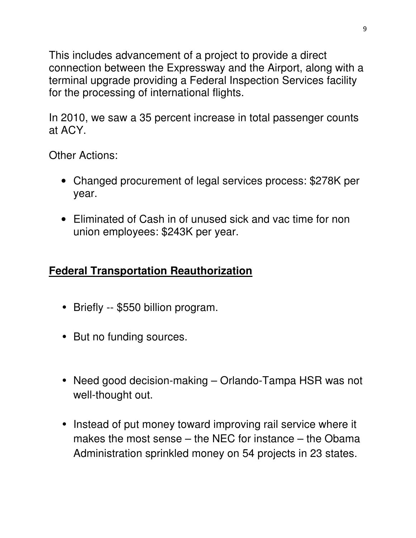This includes advancement of a project to provide a direct connection between the Expressway and the Airport, along with a terminal upgrade providing a Federal Inspection Services facility for the processing of international flights.

In 2010, we saw a 35 percent increase in total passenger counts at ACY.

Other Actions:

- Changed procurement of legal services process: \$278K per year.
- Eliminated of Cash in of unused sick and vac time for non union employees: \$243K per year.

## **Federal Transportation Reauthorization**

- Briefly -- \$550 billion program.
- But no funding sources.
- Need good decision-making Orlando-Tampa HSR was not well-thought out.
- Instead of put money toward improving rail service where it makes the most sense – the NEC for instance – the Obama Administration sprinkled money on 54 projects in 23 states.